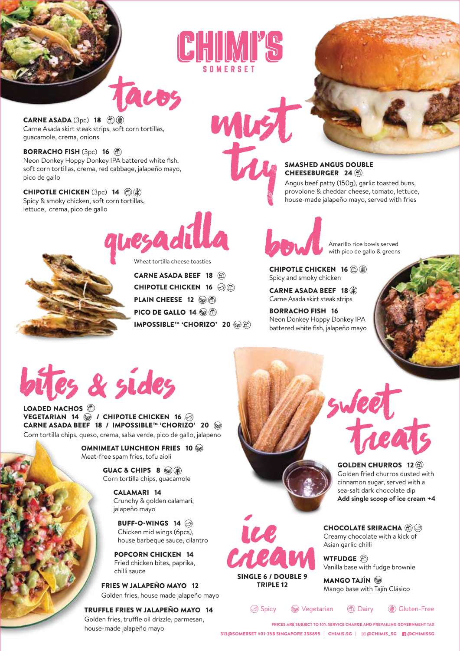



**CARNE ASADA** (3pc) 18  $\textcircled{f}(\mathcal{R})$ Carne Asada skirt steak strips, soft corn tortillas, guacamole, crema, onions

BORRACHO FISH (3pc) 16 (2) Neon Donkey Hoppy Donkey IPA battered white fish, soft corn tortillas, crema, red cabbage, jalapeño mayo, pico de gallo

**CHIPOTLE CHICKEN** (3pc) 14 **(d)** Spicy & smoky chicken, soft corn tortillas, lettuce, crema, pico de gallo

# quesadilla Wheat tortilla cheese toasties

tacos



IMPOSSIBLE™ 'CHORIZO' 20 PICO DE GALLO 14 (@@) PLAIN CHEESE 12 8 CHIPOTLE CHICKEN 16 **☉**⑧ CARNE ASADA BEEF 18

### SMASHED ANGUS DOUBLE CHEESEBURGER 24

Angus beef patty (150g), garlic toasted buns, provolone & cheddar cheese, tomato, lettuce, house-made jalapeño mayo, served with fries

Amarillo rice bowls served<br>CHIPOTLE CHICKEN 16 8 with pico de gallo & greens

Spicy and smoky chicken

CARNE ASADA BEEF 18 Carne Asada skirt steak strips

BORRACHO FISH 16 Neon Donkey Hoppy Donkey IPA battered white fish, jalapeño mayo



## bites & sides

LOADED NACHOS<sup>(1)</sup> VEGETARIAN 14  $\circledcirc$  / CHIPOTLE CHICKEN 16  $\circledcirc$ CARNE ASADA BEEF 18 / IMPOSSIBLE™ 'CHORIZO' 20 <del>®</del> Corn tortilla chips, queso, crema, salsa verde, pico de gallo, jalapeno

> OMNIMEAT LUNCHEON FRIES 10 Meat-free spam fries, tofu aioli

> > GUAC & CHIPS 8 (2) Corn tortilla chips, guacamole

> > > CALAMARI 14 Crunchy & golden calamari, jalapeño mayo

BUFF-O-WINGS 14 Chicken mid wings (6pcs), house barbeque sauce, cilantro

POPCORN CHICKEN 14 Fried chicken bites, paprika, chilli sauce

FRIES W JALAPEÑO MAYO 12 TRIPLE 12 Golden fries, house made jalapeño mayo

TRUFFLE FRIES W JALAPEÑO MAYO 14 Golden fries, truffle oil drizzle, parmesan, house-made jalapeño mayo



Golden fried churros dusted with cinnamon sugar, served with a sea-salt dark chocolate dip **Add single scoop of ice cream +4**

CHOCOLATE SRIRACHA @@ Creamy chocolate with a kick of Asian garlic chilli

**CACAM** Asian garlic<br>SINGLE 6 / DOUBLE 9<br>TRIBLE 9 MANGO T. Vanilla base with fudge brownie

MANGO TAJÍN Mango base with Tajín Clásico

Spicy  $\circledast$  Vegetarian (d) Dairy ( $\circledast$ ) Gluten-Free

SINGLE 6 / DOUBLE 9

ice

313@SOMERSET #01-25B SINGAPORE 238895 | CHIMIS.SG | @@CHIMIS\_SG Fa@CHIMISSG PRICES ARE SUBJECT TO 10% SERVICE CHARGE AND PREVAILING GOVERNMENT TAX